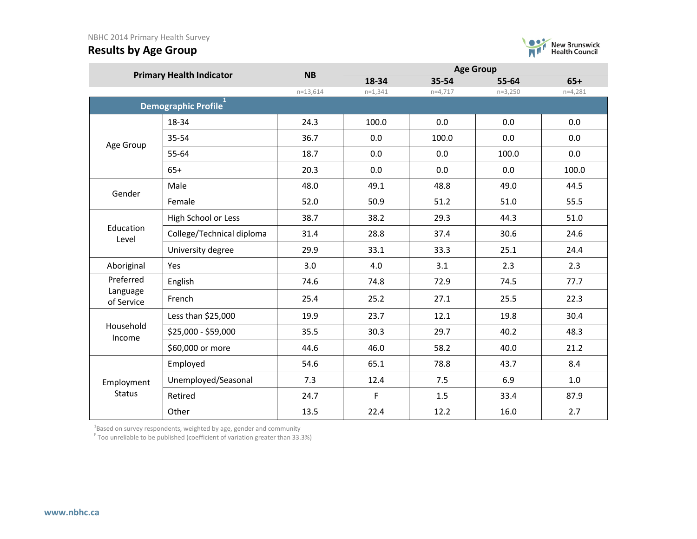

|                        | <b>Primary Health Indicator</b> | <b>NB</b>    | 18-34        | 35-54     | 55-64     | $65+$     |
|------------------------|---------------------------------|--------------|--------------|-----------|-----------|-----------|
|                        |                                 | $n=13,614$   | $n=1,341$    | $n=4,717$ | $n=3,250$ | $n=4,281$ |
|                        | Demographic Profile             |              |              |           |           |           |
|                        | 18-34                           | 24.3         | 100.0        | 0.0       | 0.0       | 0.0       |
| Age Group              | 35-54                           | 36.7         | 0.0          | 100.0     | 0.0       | 0.0       |
|                        | 55-64                           | 18.7         | 0.0          | 0.0       | 100.0     | 0.0       |
|                        | $65+$                           | 20.3         | 0.0          | 0.0       | 0.0       | 100.0     |
| Gender                 | Male                            | 48.0         | 49.1         | 48.8      | 49.0      | 44.5      |
|                        | Female                          | 52.0         | 50.9         | 51.2      | 51.0      | 55.5      |
|                        | High School or Less             | 38.7         | 38.2         | 29.3      | 44.3      | 51.0      |
| Education<br>Level     | College/Technical diploma       | 31.4         | 28.8         | 37.4      | 30.6      | 24.6      |
|                        | University degree               | 29.9         | 33.1<br>33.3 |           | 25.1      | 24.4      |
| Aboriginal             | Yes                             | 3.0          | 4.0          | 3.1       | 2.3       | 2.3       |
| Preferred              | English                         | 74.6         | 74.8         | 72.9      | 74.5      | 77.7      |
| Language<br>of Service | French                          | 25.4         | 25.2         | 27.1      | 25.5      | 22.3      |
|                        | Less than \$25,000              | 19.9         | 23.7         | 12.1      | 19.8      | 30.4      |
| Household<br>Income    | \$25,000 - \$59,000             | 35.5         | 30.3         | 29.7      | 40.2      | 48.3      |
|                        | \$60,000 or more                | 44.6         | 46.0         | 58.2      | 40.0      | 21.2      |
|                        | Employed                        | 54.6         | 65.1         | 78.8      | 43.7      | 8.4       |
| Employment             | Unemployed/Seasonal             | 7.3          | 12.4         | 7.5       | 6.9       | 1.0       |
| <b>Status</b>          | Retired                         | 24.7         | F            | 1.5       | 33.4      | 87.9      |
|                        | Other                           | 13.5<br>22.4 |              | 12.2      | 16.0      | 2.7       |

 $^{1}$ Based on survey respondents, weighted by age, gender and community

<sup>F</sup> Too unreliable to be published (coefficient of variation greater than 33.3%)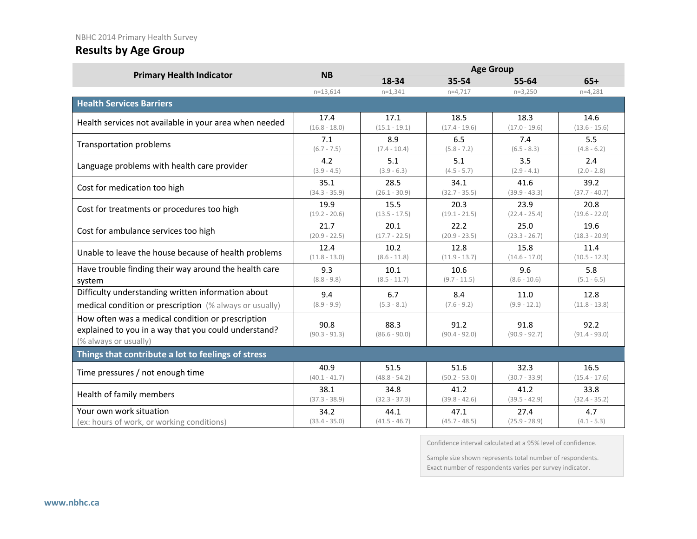### NBHC 2014 Primary Health Survey

# **Results by Age Group**

| <b>Primary Health Indicator</b>                                                                                                    | <b>NB</b>               |                         | <b>Age Group</b>        |                         |                         |  |
|------------------------------------------------------------------------------------------------------------------------------------|-------------------------|-------------------------|-------------------------|-------------------------|-------------------------|--|
|                                                                                                                                    |                         | 18-34                   | 35-54                   | 55-64                   | $65+$                   |  |
|                                                                                                                                    | $n = 13.614$            | $n=1,341$               | $n=4,717$               | $n=3,250$               | $n=4,281$               |  |
| <b>Health Services Barriers</b>                                                                                                    |                         |                         |                         |                         |                         |  |
| Health services not available in your area when needed                                                                             | 17.4                    | 17.1                    | 18.5                    | 18.3                    | 14.6                    |  |
|                                                                                                                                    | $(16.8 - 18.0)$         | $(15.1 - 19.1)$         | $(17.4 - 19.6)$         | $(17.0 - 19.6)$         | $(13.6 - 15.6)$         |  |
| <b>Transportation problems</b>                                                                                                     | 7.1                     | 8.9                     | 6.5                     | 7.4                     | 5.5                     |  |
|                                                                                                                                    | $(6.7 - 7.5)$           | $(7.4 - 10.4)$          | $(5.8 - 7.2)$           | $(6.5 - 8.3)$           | $(4.8 - 6.2)$           |  |
| Language problems with health care provider                                                                                        | 4.2                     | 5.1                     | 5.1                     | 3.5                     | 2.4                     |  |
|                                                                                                                                    | $(3.9 - 4.5)$           | $(3.9 - 6.3)$           | $(4.5 - 5.7)$           | $(2.9 - 4.1)$           | $(2.0 - 2.8)$           |  |
| Cost for medication too high                                                                                                       | 35.1                    | 28.5                    | 34.1                    | 41.6                    | 39.2                    |  |
|                                                                                                                                    | $(34.3 - 35.9)$         | $(26.1 - 30.9)$         | $(32.7 - 35.5)$         | $(39.9 - 43.3)$         | $(37.7 - 40.7)$         |  |
| Cost for treatments or procedures too high                                                                                         | 19.9                    | 15.5                    | 20.3                    | 23.9                    | 20.8                    |  |
|                                                                                                                                    | $(19.2 - 20.6)$         | $(13.5 - 17.5)$         | $(19.1 - 21.5)$         | $(22.4 - 25.4)$         | $(19.6 - 22.0)$         |  |
| Cost for ambulance services too high                                                                                               | 21.7                    | 20.1                    | 22.2                    | 25.0                    | 19.6                    |  |
|                                                                                                                                    | $(20.9 - 22.5)$         | $(17.7 - 22.5)$         | $(20.9 - 23.5)$         | $(23.3 - 26.7)$         | $(18.3 - 20.9)$         |  |
| Unable to leave the house because of health problems                                                                               | 12.4                    | 10.2                    | 12.8                    | 15.8                    | 11.4                    |  |
|                                                                                                                                    | $(11.8 - 13.0)$         | $(8.6 - 11.8)$          | $(11.9 - 13.7)$         | $(14.6 - 17.0)$         | $(10.5 - 12.3)$         |  |
| Have trouble finding their way around the health care                                                                              | 9.3                     | 10.1                    | 10.6                    | 9.6                     | 5.8                     |  |
| system                                                                                                                             | $(8.8 - 9.8)$           | $(8.5 - 11.7)$          | $(9.7 - 11.5)$          | $(8.6 - 10.6)$          | $(5.1 - 6.5)$           |  |
| Difficulty understanding written information about                                                                                 | 9.4                     | 6.7                     | 8.4                     | 11.0                    | 12.8                    |  |
| medical condition or prescription (% always or usually)                                                                            | $(8.9 - 9.9)$           | $(5.3 - 8.1)$           | $(7.6 - 9.2)$           | $(9.9 - 12.1)$          | $(11.8 - 13.8)$         |  |
| How often was a medical condition or prescription<br>explained to you in a way that you could understand?<br>(% always or usually) | 90.8<br>$(90.3 - 91.3)$ | 88.3<br>$(86.6 - 90.0)$ | 91.2<br>$(90.4 - 92.0)$ | 91.8<br>$(90.9 - 92.7)$ | 92.2<br>$(91.4 - 93.0)$ |  |
| Things that contribute a lot to feelings of stress                                                                                 |                         |                         |                         |                         |                         |  |
| Time pressures / not enough time                                                                                                   | 40.9                    | 51.5                    | 51.6                    | 32.3                    | 16.5                    |  |
|                                                                                                                                    | $(40.1 - 41.7)$         | $(48.8 - 54.2)$         | $(50.2 - 53.0)$         | $(30.7 - 33.9)$         | $(15.4 - 17.6)$         |  |
| Health of family members                                                                                                           | 38.1                    | 34.8                    | 41.2                    | 41.2                    | 33.8                    |  |
|                                                                                                                                    | $(37.3 - 38.9)$         | $(32.3 - 37.3)$         | $(39.8 - 42.6)$         | $(39.5 - 42.9)$         | $(32.4 - 35.2)$         |  |
| Your own work situation                                                                                                            | 34.2                    | 44.1                    | 47.1                    | 27.4                    | 4.7                     |  |
| (ex: hours of work, or working conditions)                                                                                         | $(33.4 - 35.0)$         | $(41.5 - 46.7)$         | $(45.7 - 48.5)$         | $(25.9 - 28.9)$         | $(4.1 - 5.3)$           |  |

Confidence interval calculated at a 95% level of confidence.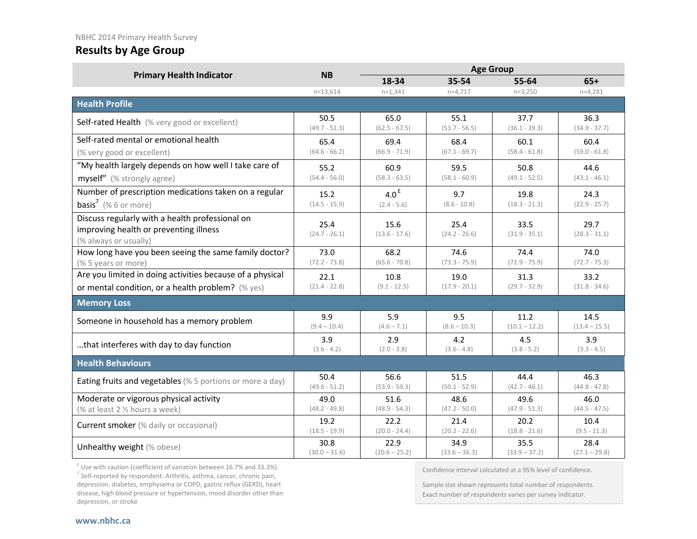#### NBHC 2014 Primary Health Survey

## **Results by Age Group**

|                                                                                                                    | <b>NB</b>               |                         |                         |                         |                         |
|--------------------------------------------------------------------------------------------------------------------|-------------------------|-------------------------|-------------------------|-------------------------|-------------------------|
| <b>Primary Health Indicator</b>                                                                                    |                         | 18-34                   | 35-54                   | 55-64                   | $65+$                   |
|                                                                                                                    | $n = 13,614$            | $n=1,341$               | $n=4,717$               | $n=3,250$               | $n=4,281$               |
| <b>Health Profile</b>                                                                                              |                         |                         |                         |                         |                         |
| Self-rated Health (% very good or excellent)                                                                       | 50.5<br>$(49.7 - 51.3)$ | 65.0<br>$(62.5 - 67.5)$ | 55.1<br>$(53.7 - 56.5)$ | 37.7<br>$(36.1 - 39.3)$ | 36.3<br>$(34.9 - 37.7)$ |
| Self-rated mental or emotional health                                                                              | 65.4                    | 69.4                    | 68.4                    | 60.1                    | 60.4                    |
| (% very good or excellent)                                                                                         | $(64.6 - 66.2)$         | $(66.9 - 71.9)$         | $(67.1 - 69.7)$         | $(58.4 - 61.8)$         | $(59.0 - 61.8)$         |
| "My health largely depends on how well I take care of                                                              | 55.2                    | 60.9                    | 59.5                    | 50.8                    | 44.6                    |
| myself" (% strongly agree)                                                                                         | $(54.4 - 56.0)$         | $(58.3 - 63.5)$         | $(58.1 - 60.9)$         | $(49.1 - 52.5)$         | $(43.1 - 46.1)$         |
| Number of prescription medications taken on a regular                                                              | 15.2                    | 4.0 $E$                 | 9.7                     | 19.8                    | 24.3                    |
| <b>basis<sup>7</sup></b> (% 6 or more)                                                                             | $(14.5 - 15.9)$         | $(2.4 - 5.6)$           | $(8.6 - 10.8)$          | $(18.3 - 21.3)$         | $(22.9 - 25.7)$         |
| Discuss regularly with a health professional on<br>improving health or preventing illness<br>(% always or usually) | 25.4<br>$(24.7 - 26.1)$ | 15.6<br>$(13.6 - 17.6)$ | 25.4<br>$(24.2 - 26.6)$ | 33.5<br>$(31.9 - 35.1)$ | 29.7<br>$(28.3 - 31.1)$ |
| How long have you been seeing the same family doctor?<br>(% 5 years or more)                                       | 73.0<br>$(72.2 - 73.8)$ | 68.2<br>$(65.6 - 70.8)$ | 74.6<br>$(73.3 - 75.9)$ | 74.4<br>$(72.9 - 75.9)$ | 74.0<br>$(72.7 - 75.3)$ |
| Are you limited in doing activities because of a physical                                                          |                         |                         |                         |                         |                         |
| or mental condition, or a health problem? (% yes)                                                                  | 22.1<br>$(21.4 - 22.8)$ | 10.8<br>$(9.1 - 12.5)$  | 19.0<br>$(17.9 - 20.1)$ | 31.3<br>$(29.7 - 32.9)$ | 33.2<br>$(31.8 - 34.6)$ |
| <b>Memory Loss</b>                                                                                                 |                         |                         |                         |                         |                         |
| Someone in household has a memory problem                                                                          | 9.9<br>$(9.4 - 10.4)$   | 5.9<br>$(4.6 - 7.1)$    | 9.5<br>$(8.6 - 10.3)$   | 11.2<br>$(10.1 - 12.2)$ | 14.5<br>$(13.4 - 15.5)$ |
| that interferes with day to day function                                                                           | 3.9<br>$(3.6 - 4.2)$    | 2.9<br>$(2.0 - 3.8)$    | 4.2<br>$(3.6 - 4.8)$    | 4.5<br>$(3.8 - 5.2)$    | 3.9<br>$(3.3 - 4.5)$    |
| <b>Health Behaviours</b>                                                                                           |                         |                         |                         |                         |                         |
| Eating fruits and vegetables (% 5 portions or more a day)                                                          | 50.4<br>$(49.6 - 51.2)$ | 56.6<br>$(53.9 - 59.3)$ | 51.5<br>$(50.1 - 52.9)$ | 44.4<br>$(42.7 - 46.1)$ | 46.3<br>$(44.8 - 47.8)$ |
| Moderate or vigorous physical activity<br>(% at least 2 1/2 hours a week)                                          | 49.0<br>$(48.2 - 49.8)$ | 51.6<br>$(48.9 - 54.3)$ | 48.6<br>$(47.2 - 50.0)$ | 49.6<br>$(47.9 - 51.3)$ | 46.0<br>$(44.5 - 47.5)$ |
| Current smoker (% daily or occasional)                                                                             | 19.2<br>$(18.5 - 19.9)$ | 22.2<br>$(20.0 - 24.4)$ | 21.4<br>$(20.2 - 22.6)$ | 20.2<br>$(18.8 - 21.6)$ | 10.4<br>$(9.5 - 11.3)$  |
| Unhealthy weight (% obese)                                                                                         | 30.8<br>$(30.0 - 31.6)$ | 22.9<br>$(20.6 - 25.2)$ | 34.9<br>$(33.6 - 36.3)$ | 35.5<br>$(33.9 - 37.2)$ | 28.4<br>$(27.1 - 29.8)$ |

 $E$  Use with caution (coefficient of variation between 16.7% and 33.3%)

 $7$  Self-reported by respondent: Arthritis, asthma, cancer, chronic pain, depression, diabetes, emphysema or COPD, gastric reflux (GERD), heart disease, high blood pressure or hypertension, mood disorder other than depression, or stroke

Confidence interval calculated at a 95% level of confidence.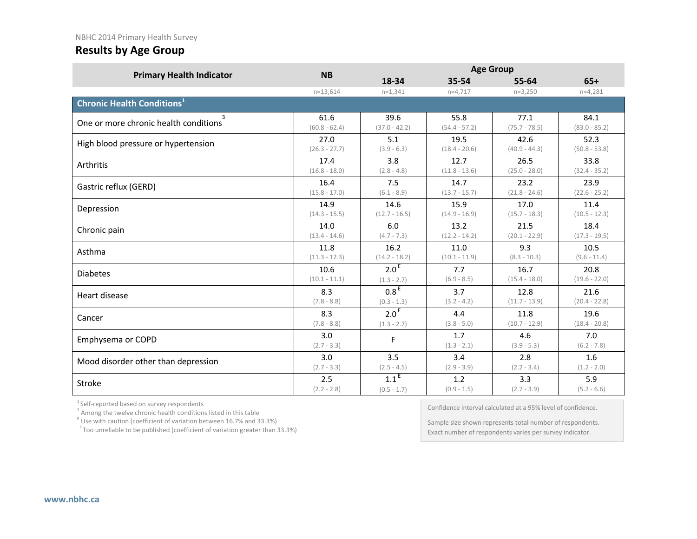#### NBHC 2014 Primary Health Survey

## **Results by Age Group**

|                                              | <b>NB</b>            |                  |                      |                      |                      |
|----------------------------------------------|----------------------|------------------|----------------------|----------------------|----------------------|
| <b>Primary Health Indicator</b>              |                      | 18-34            | 35-54                | 55-64                | $65+$                |
|                                              | $n=13,614$           | $n=1,341$        | $n=4,717$            | $n=3,250$            | $n=4,281$            |
| <b>Chronic Health Conditions<sup>1</sup></b> |                      |                  |                      |                      |                      |
| 3                                            | 61.6                 | 39.6             | 55.8                 | 77.1                 | 84.1                 |
| One or more chronic health conditions        | $(60.8 - 62.4)$      | $(37.0 - 42.2)$  | $(54.4 - 57.2)$      | $(75.7 - 78.5)$      | $(83.0 - 85.2)$      |
| High blood pressure or hypertension          | 27.0                 | 5.1              | 19.5                 | 42.6                 | 52.3                 |
|                                              | $(26.3 - 27.7)$      | $(3.9 - 6.3)$    | $(18.4 - 20.6)$      | $(40.9 - 44.3)$      | $(50.8 - 53.8)$      |
| Arthritis                                    | 17.4                 | 3.8              | 12.7                 | 26.5                 | 33.8                 |
|                                              | $(16.8 - 18.0)$      | $(2.8 - 4.8)$    | $(11.8 - 13.6)$      | $(25.0 - 28.0)$      | $(32.4 - 35.2)$      |
| Gastric reflux (GERD)                        | 16.4                 | 7.5              | 14.7                 | 23.2                 | 23.9                 |
|                                              | $(15.8 - 17.0)$      | $(6.1 - 8.9)$    | $(13.7 - 15.7)$      | $(21.8 - 24.6)$      | $(22.6 - 25.2)$      |
| Depression                                   | 14.9                 | 14.6             | 15.9                 | 17.0                 | 11.4                 |
|                                              | $(14.3 - 15.5)$      | $(12.7 - 16.5)$  | $(14.9 - 16.9)$      | $(15.7 - 18.3)$      | $(10.5 - 12.3)$      |
| Chronic pain                                 | 14.0                 | 6.0              | 13.2                 | 21.5                 | 18.4                 |
|                                              | $(13.4 - 14.6)$      | $(4.7 - 7.3)$    | $(12.2 - 14.2)$      | $(20.1 - 22.9)$      | $(17.3 - 19.5)$      |
| Asthma                                       | 11.8                 | 16.2             | 11.0                 | 9.3                  | 10.5                 |
|                                              | $(11.3 - 12.3)$      | $(14.2 - 18.2)$  | $(10.1 - 11.9)$      | $(8.3 - 10.3)$       | $(9.6 - 11.4)$       |
| <b>Diabetes</b>                              | 10.6                 | 2.0 <sup>E</sup> | 7.7                  | 16.7                 | 20.8                 |
|                                              | $(10.1 - 11.1)$      | $(1.3 - 2.7)$    | $(6.9 - 8.5)$        | $(15.4 - 18.0)$      | $(19.6 - 22.0)$      |
| Heart disease                                | 8.3                  | 0.8 <sup>E</sup> | 3.7                  | 12.8                 | 21.6                 |
|                                              | $(7.8 - 8.8)$        | $(0.3 - 1.3)$    | $(3.2 - 4.2)$        | $(11.7 - 13.9)$      | $(20.4 - 22.8)$      |
| Cancer                                       | 8.3                  | 2.0 <sup>E</sup> | 4.4                  | 11.8                 | 19.6                 |
|                                              | $(7.8 - 8.8)$        | $(1.3 - 2.7)$    | $(3.8 - 5.0)$        | $(10.7 - 12.9)$      | $(18.4 - 20.8)$      |
| Emphysema or COPD                            | 3.0<br>$(2.7 - 3.3)$ | F                | 1.7<br>$(1.3 - 2.1)$ | 4.6<br>$(3.9 - 5.3)$ | 7.0<br>$(6.2 - 7.8)$ |
| Mood disorder other than depression          | 3.0                  | 3.5              | 3.4                  | 2.8                  | 1.6                  |
|                                              | $(2.7 - 3.3)$        | $(2.5 - 4.5)$    | $(2.9 - 3.9)$        | $(2.2 - 3.4)$        | $(1.2 - 2.0)$        |
| Stroke                                       | 2.5                  | 1.1 <sup>E</sup> | 1.2                  | 3.3                  | 5.9                  |
|                                              | $(2.2 - 2.8)$        | $(0.5 - 1.7)$    | $(0.9 - 1.5)$        | $(2.7 - 3.9)$        | $(5.2 - 6.6)$        |

 $1$  Self-reported based on survey respondents  $3$  Among the twelve chronic health conditions listed in this table

E Use with caution (coefficient of variation between 16.7% and 33.3%)

F Too unreliable to be published (coefficient of variation greater than 33.3%)

Confidence interval calculated at a 95% level of confidence.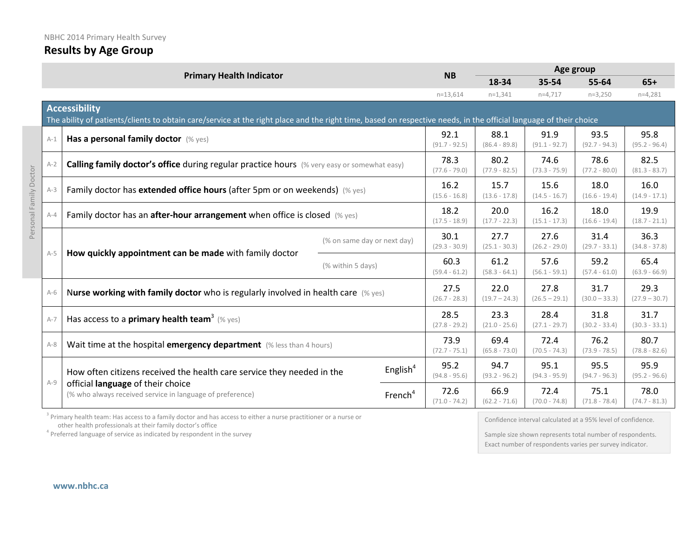| NBHC 2014 Primary Health Survey<br><b>Results by Age Group</b> |  |
|----------------------------------------------------------------|--|
|                                                                |  |

#### **Primary Health Indicator NB**  $\frac{\text{Age group}}{\text{18-34}}$  **Age group 18-34 35-54 55-64 65+** n=13,614 n=1,341 n=4,717 n=3,250 n=4,281 **Accessibility** The ability of patients/clients to obtain care/service at the right place and the right time, based on respective needs, in the official language of their choice A-1 **Has a personal family doctor** (% yes) 92.1 (91.7 - 92.5) 88.1 (86.4 - 89.8) 91.9 (91.1 - 92.7) 93.5 (92.7 - 94.3) 95.8 (95.2 - 96.4) A-2 **Calling family doctor's office** during regular practice hours (% very easy or somewhat easy) 78.3 (77.6 - 79.0) 80.2 (77.9 - 82.5) 74.6 (73.3 - 75.9) 78.6 (77.2 - 80.0) 82.5 (81.3 - 83.7) A-3 Family doctor has **extended office hours** (after 5pm or on weekends) (% yes) 16.2 (15.6 - 16.8) 15.7 (13.6 - 17.8) 15.6  $(14.5 - 16.7)$ 18.0 (16.6 - 19.4) 16.0 (14.9 - 17.1) A-4 Family doctor has an **after-hour arrangement** when office is closed (% yes) 18.2 (17.5 - 18.9) 20.0  $(17.7 - 22.3)$ 16.2 (15.1 - 17.3) 18.0 (16.6 - 19.4) 19.9 (18.7 - 21.1) A-5 **How quickly appointment can be made** with family doctor  $%$  on same day or next day)  $30.1$ (29.3 - 30.9) 27.7 (25.1 - 30.3) 27.6  $(26.2 - 29.0)$ 31.4 (29.7 - 33.1) 36.3 (34.8 - 37.8)  $(\%$  within 5 days) 60.3 (59.4 - 61.2) 61.2 (58.3 - 64.1) 57.6 (56.1 - 59.1) 59.2 (57.4 - 61.0) 65.4 (63.9 - 66.9) A-6 <sup>N</sup>**urse working with family doctor** who is regularly involved in health care (% yes) 27.5 (26.7 - 28.3) 22.0  $(19.7 - 24.3)$ 27.8  $(26.5 - 29.1)$ 31.7  $(30.0 - 33.3)$ 29.3  $(27.9 - 30.7)$ A-7  $H$  **Has access to a primary health team<sup>3</sup> (% yes)** 28.5 (27.8 - 29.2) 23.3  $(21.0 - 25.6)$ 28.4  $(27.1 - 29.7)$ 31.8 (30.2 - 33.4) 31.7 (30.3 - 33.1) A-8 Wait time at the hospital **emergency department** (% less than 4 hours) 73.9 (72.7 - 75.1) 69.4 (65.8 - 73.0) 72.4  $(70.5 - 74.3)$ 76.2 (73.9 - 78.5) 80.7 (78.8 - 82.6) A-9 How often citizens received the health care service they needed in the official **language** of their choice (% who always received service in language of preference) English<sup>4</sup> 95.2 (94.8 - 95.6) 94.7 (93.2 - 96.2) 95.1 (94.3 - 95.9) 95.5 (94.7 - 96.3) 95.9 (95.2 - 96.6) French<sup>4</sup> 72.6 (71.0 - 74.2) 66.9  $(62.2 - 71.6)$ 72.4 (70.0 - 74.8) 75.1 (71.8 - 78.4) 78.0 (74.7 - 81.3)

<sup>3</sup> Primary health team: Has access to a family doctor and has access to either a nurse practitioner or a nurse or other health professionals at their family doctor's office<br><sup>4</sup> Preferred language of service as indicated by respondent in the survey

Confidence interval calculated at a 95% level of confidence.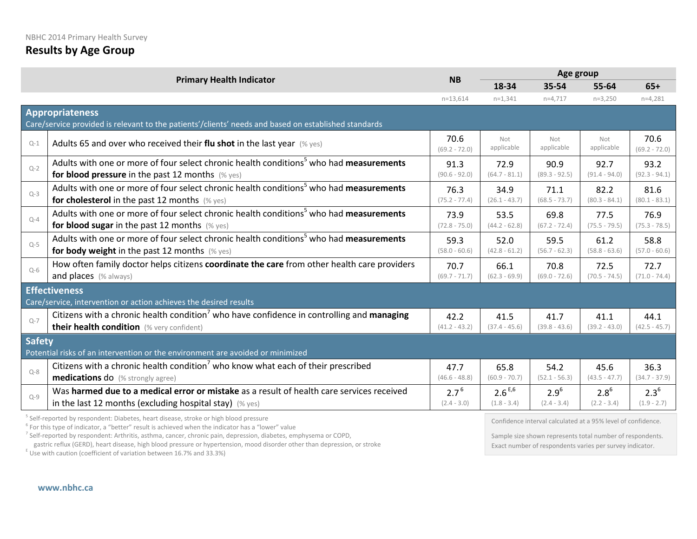|               | <b>Primary Health Indicator</b>                                                                       | <b>NB</b>               | Age group         |                   |                   |                         |  |  |  |
|---------------|-------------------------------------------------------------------------------------------------------|-------------------------|-------------------|-------------------|-------------------|-------------------------|--|--|--|
|               |                                                                                                       |                         | 18-34             | 35-54             | 55-64             | $65+$                   |  |  |  |
|               |                                                                                                       | $n=13,614$              | $n=1,341$         | $n=4,717$         | $n=3,250$         | $n=4,281$               |  |  |  |
|               | <b>Appropriateness</b>                                                                                |                         |                   |                   |                   |                         |  |  |  |
|               | Care/service provided is relevant to the patients'/clients' needs and based on established standards  |                         |                   |                   |                   |                         |  |  |  |
| $Q-1$         | Adults 65 and over who received their flu shot in the last year $(\%$ yes)                            | 70.6<br>$(69.2 - 72.0)$ | Not<br>applicable | Not<br>applicable | Not<br>applicable | 70.6<br>$(69.2 - 72.0)$ |  |  |  |
| $O-2$         | Adults with one or more of four select chronic health conditions <sup>5</sup> who had measurements    | 91.3                    | 72.9              | 90.9              | 92.7              | 93.2                    |  |  |  |
|               | for blood pressure in the past 12 months $(\%$ yes)                                                   | $(90.6 - 92.0)$         | $(64.7 - 81.1)$   | $(89.3 - 92.5)$   | $(91.4 - 94.0)$   | $(92.3 - 94.1)$         |  |  |  |
| $Q-3$         | Adults with one or more of four select chronic health conditions <sup>5</sup> who had measurements    | 76.3                    | 34.9              | 71.1              | 82.2              | 81.6                    |  |  |  |
|               | for cholesterol in the past 12 months (% yes)                                                         | $(75.2 - 77.4)$         | $(26.1 - 43.7)$   | $(68.5 - 73.7)$   | $(80.3 - 84.1)$   | $(80.1 - 83.1)$         |  |  |  |
| $Q - 4$       | Adults with one or more of four select chronic health conditions <sup>5</sup> who had measurements    | 73.9                    | 53.5              | 69.8              | 77.5              | 76.9                    |  |  |  |
|               | for blood sugar in the past 12 months $(\%$ yes)                                                      | $(72.8 - 75.0)$         | $(44.2 - 62.8)$   | $(67.2 - 72.4)$   | $(75.5 - 79.5)$   | $(75.3 - 78.5)$         |  |  |  |
| $Q-5$         | Adults with one or more of four select chronic health conditions <sup>5</sup> who had measurements    | 59.3                    | 52.0              | 59.5              | 61.2              | 58.8                    |  |  |  |
|               | for body weight in the past 12 months $(\%$ yes)                                                      | $(58.0 - 60.6)$         | $(42.8 - 61.2)$   | $(56.7 - 62.3)$   | $(58.8 - 63.6)$   | $(57.0 - 60.6)$         |  |  |  |
| $O-6$         | How often family doctor helps citizens coordinate the care from other health care providers           | 70.7                    | 66.1              | 70.8              | 72.5              | 72.7                    |  |  |  |
|               | and places (% always)                                                                                 | $(69.7 - 71.7)$         | $(62.3 - 69.9)$   | $(69.0 - 72.6)$   | $(70.5 - 74.5)$   | $(71.0 - 74.4)$         |  |  |  |
|               | <b>Effectiveness</b>                                                                                  |                         |                   |                   |                   |                         |  |  |  |
|               | Care/service, intervention or action achieves the desired results                                     |                         |                   |                   |                   |                         |  |  |  |
| $Q-7$         | Citizens with a chronic health condition <sup>7</sup> who have confidence in controlling and managing | 42.2                    | 41.5              | 41.7              | 41.1              | 44.1                    |  |  |  |
|               | their health condition (% very confident)                                                             | $(41.2 - 43.2)$         | $(37.4 - 45.6)$   | $(39.8 - 43.6)$   | $(39.2 - 43.0)$   | $(42.5 - 45.7)$         |  |  |  |
| <b>Safety</b> |                                                                                                       |                         |                   |                   |                   |                         |  |  |  |
|               | Potential risks of an intervention or the environment are avoided or minimized                        |                         |                   |                   |                   |                         |  |  |  |
| $Q - 8$       | Citizens with a chronic health condition <sup>7</sup> who know what each of their prescribed          | 47.7                    | 65.8              | 54.2              | 45.6              | 36.3                    |  |  |  |
|               | <b>medications do</b> (% strongly agree)                                                              | $(46.6 - 48.8)$         | $(60.9 - 70.7)$   | $(52.1 - 56.3)$   | $(43.5 - 47.7)$   | $(34.7 - 37.9)$         |  |  |  |
| $Q-9$         | Was harmed due to a medical error or mistake as a result of health care services received             | 2.7 <sup>6</sup>        | $2.6^{E,6}$       | $2.9^{6}$         | $2.8^{6}$         | $2.3^{6}$               |  |  |  |
|               | in the last 12 months (excluding hospital stay) $(\%$ yes)                                            | $(2.4 - 3.0)$           | $(1.8 - 3.4)$     | $(2.4 - 3.4)$     | $(2.2 - 3.4)$     | $(1.9 - 2.7)$           |  |  |  |

<sup>5</sup> Self-reported by respondent: Diabetes, heart disease, stroke or high blood pressure

<sup>6</sup> For this type of indicator, a "better" result is achieved when the indicator has a "lower" value

<sup>7</sup> Self-reported by respondent: Arthritis, asthma, cancer, chronic pain, depression, diabetes, emphysema or COPD,

gastric reflux (GERD), heart disease, high blood pressure or hypertension, mood disorder other than depression, or stroke E Use with caution (coefficient of variation between 16.7% and 33.3%)

Confidence interval calculated at a 95% level of confidence.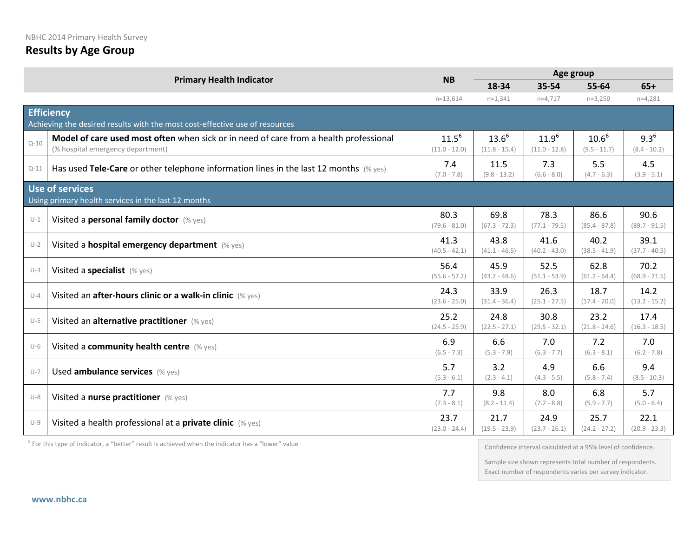|          |                                                                                                                            | <b>NB</b>                     | Age group                     |                               |                              |                             |  |
|----------|----------------------------------------------------------------------------------------------------------------------------|-------------------------------|-------------------------------|-------------------------------|------------------------------|-----------------------------|--|
|          | <b>Primary Health Indicator</b>                                                                                            |                               | 18-34                         | 35-54                         | 55-64                        | $65+$                       |  |
|          |                                                                                                                            | $n=13,614$                    | $n=1,341$                     | $n=4,717$                     | $n=3,250$                    | $n=4,281$                   |  |
|          | <b>Efficiency</b><br>Achieving the desired results with the most cost-effective use of resources                           |                               |                               |                               |                              |                             |  |
| $Q - 10$ | Model of care used most often when sick or in need of care from a health professional<br>(% hospital emergency department) | $11.5^{6}$<br>$(11.0 - 12.0)$ | $13.6^{6}$<br>$(11.8 - 15.4)$ | $11.9^{6}$<br>$(11.0 - 12.8)$ | $10.6^{6}$<br>$(9.5 - 11.7)$ | $9.3^{6}$<br>$(8.4 - 10.2)$ |  |
| $Q - 11$ | Has used Tele-Care or other telephone information lines in the last 12 months $(\%$ yes)                                   | 7.4<br>$(7.0 - 7.8)$          | 11.5<br>$(9.8 - 13.2)$        | 7.3<br>$(6.6 - 8.0)$          | 5.5<br>$(4.7 - 6.3)$         | 4.5<br>$(3.9 - 5.1)$        |  |
|          | Use of services<br>Using primary health services in the last 12 months                                                     |                               |                               |                               |                              |                             |  |
| $U-1$    | Visited a personal family doctor (% yes)                                                                                   | 80.3<br>$(79.6 - 81.0)$       | 69.8<br>$(67.3 - 72.3)$       | 78.3<br>$(77.1 - 79.5)$       | 86.6<br>$(85.4 - 87.8)$      | 90.6<br>$(89.7 - 91.5)$     |  |
| $U-2$    | Visited a hospital emergency department (% yes)                                                                            | 41.3<br>$(40.5 - 42.1)$       | 43.8<br>$(41.1 - 46.5)$       | 41.6<br>$(40.2 - 43.0)$       | 40.2<br>$(38.5 - 41.9)$      | 39.1<br>$(37.7 - 40.5)$     |  |
| $U-3$    | Visited a specialist (% yes)                                                                                               | 56.4<br>$(55.6 - 57.2)$       | 45.9<br>$(43.2 - 48.6)$       | 52.5<br>$(51.1 - 53.9)$       | 62.8<br>$(61.2 - 64.4)$      | 70.2<br>$(68.9 - 71.5)$     |  |
| $U-4$    | Visited an after-hours clinic or a walk-in clinic (% yes)                                                                  | 24.3<br>$(23.6 - 25.0)$       | 33.9<br>$(31.4 - 36.4)$       | 26.3<br>$(25.1 - 27.5)$       | 18.7<br>$(17.4 - 20.0)$      | 14.2<br>$(13.2 - 15.2)$     |  |
| $U-5$    | Visited an alternative practitioner (% yes)                                                                                | 25.2<br>$(24.5 - 25.9)$       | 24.8<br>$(22.5 - 27.1)$       | 30.8<br>$(29.5 - 32.1)$       | 23.2<br>$(21.8 - 24.6)$      | 17.4<br>$(16.3 - 18.5)$     |  |
| $U-6$    | Visited a community health centre (% yes)                                                                                  | 6.9<br>$(6.5 - 7.3)$          | 6.6<br>$(5.3 - 7.9)$          | 7.0<br>$(6.3 - 7.7)$          | 7.2<br>$(6.3 - 8.1)$         | 7.0<br>$(6.2 - 7.8)$        |  |
| $U-7$    | Used ambulance services (% yes)                                                                                            | 5.7<br>$(5.3 - 6.1)$          | 3.2<br>$(2.3 - 4.1)$          | 4.9<br>$(4.3 - 5.5)$          | 6.6<br>$(5.8 - 7.4)$         | 9.4<br>$(8.5 - 10.3)$       |  |
| $U-8$    | Visited a nurse practitioner (% yes)                                                                                       | 7.7<br>$(7.3 - 8.1)$          | 9.8<br>$(8.2 - 11.4)$         | 8.0<br>$(7.2 - 8.8)$          | 6.8<br>$(5.9 - 7.7)$         | 5.7<br>$(5.0 - 6.4)$        |  |
| $U-9$    | Visited a health professional at a <b>private clinic</b> (% yes)                                                           | 23.7<br>$(23.0 - 24.4)$       | 21.7<br>$(19.5 - 23.9)$       | 24.9<br>$(23.7 - 26.1)$       | 25.7<br>$(24.2 - 27.2)$      | 22.1<br>$(20.9 - 23.3)$     |  |

 $6$  For this type of indicator, a "better" result is achieved when the indicator has a "lower" value

Confidence interval calculated at a 95% level of confidence.